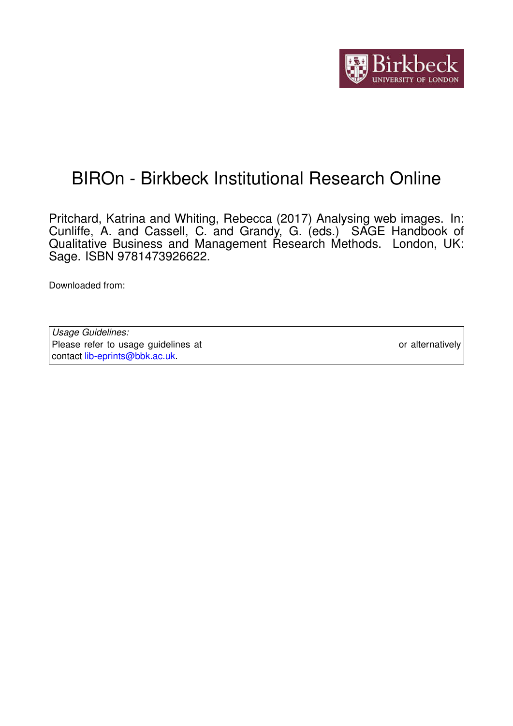

# BIROn - Birkbeck Institutional Research Online

Pritchard, Katrina and Whiting, Rebecca (2017) Analysing web images. In: Cunliffe, A. and Cassell, C. and Grandy, G. (eds.) SAGE Handbook of Qualitative Business and Management Research Methods. London, UK: Sage. ISBN 9781473926622.

Downloaded from: <https://eprints.bbk.ac.uk/id/eprint/15926/>

*Usage Guidelines:* Please refer to usage guidelines at <https://eprints.bbk.ac.uk/policies.html> or alternatively contact [lib-eprints@bbk.ac.uk.](mailto:lib-eprints@bbk.ac.uk)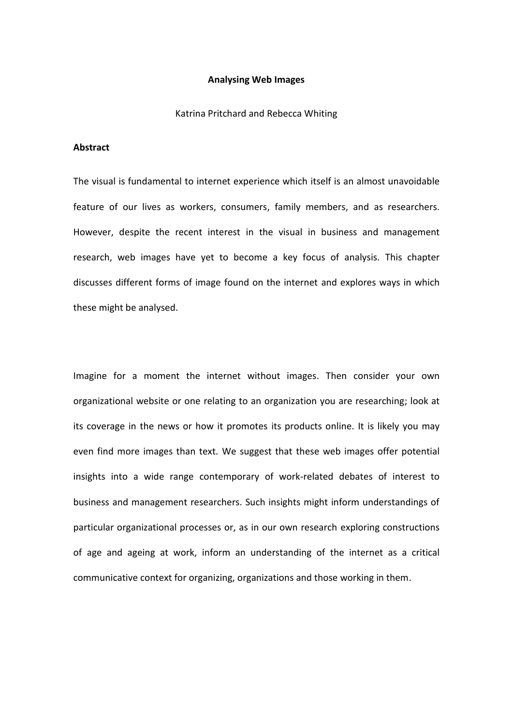# **Analysing Web Images**

Katrina Pritchard and Rebecca Whiting

## **Abstract**

The visual is fundamental to internet experience which itself is an almost unavoidable feature of our lives as workers, consumers, family members, and as researchers. However, despite the recent interest in the visual in business and management research, web images have yet to become a key focus of analysis. This chapter discusses different forms of image found on the internet and explores ways in which these might be analysed.

Imagine for a moment the internet without images. Then consider your own organizational website or one relating to an organization you are researching; look at its coverage in the news or how it promotes its products online. It is likely you may even find more images than text. We suggest that these web images offer potential insights into a wide range contemporary of work-related debates of interest to business and management researchers. Such insights might inform understandings of particular organizational processes or, as in our own research exploring constructions of age and ageing at work, inform an understanding of the internet as a critical communicative context for organizing, organizations and those working in them.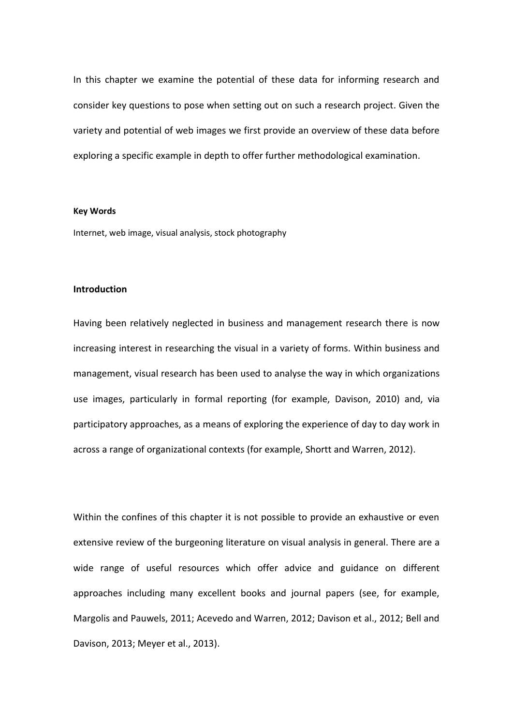In this chapter we examine the potential of these data for informing research and consider key questions to pose when setting out on such a research project. Given the variety and potential of web images we first provide an overview of these data before exploring a specific example in depth to offer further methodological examination.

#### **Key Words**

Internet, web image, visual analysis, stock photography

## **Introduction**

Having been relatively neglected in business and management research there is now increasing interest in researching the visual in a variety of forms. Within business and management, visual research has been used to analyse the way in which organizations use images, particularly in formal reporting (for example, Davison, 2010) and, via participatory approaches, as a means of exploring the experience of day to day work in across a range of organizational contexts (for example, Shortt and Warren, 2012).

Within the confines of this chapter it is not possible to provide an exhaustive or even extensive review of the burgeoning literature on visual analysis in general. There are a wide range of useful resources which offer advice and guidance on different approaches including many excellent books and journal papers (see, for example, Margolis and Pauwels, 2011; Acevedo and Warren, 2012; Davison et al., 2012; Bell and Davison, 2013; Meyer et al., 2013).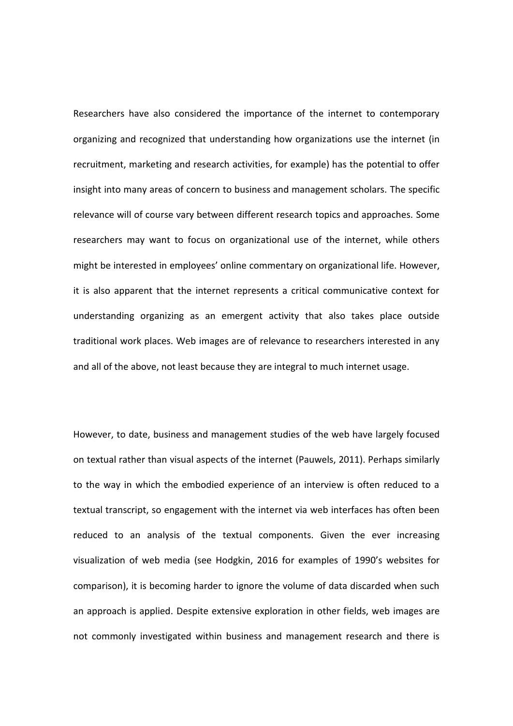Researchers have also considered the importance of the internet to contemporary organizing and recognized that understanding how organizations use the internet (in recruitment, marketing and research activities, for example) has the potential to offer insight into many areas of concern to business and management scholars. The specific relevance will of course vary between different research topics and approaches. Some researchers may want to focus on organizational use of the internet, while others might be interested in employees' online commentary on organizational life. However, it is also apparent that the internet represents a critical communicative context for understanding organizing as an emergent activity that also takes place outside traditional work places. Web images are of relevance to researchers interested in any and all of the above, not least because they are integral to much internet usage.

However, to date, business and management studies of the web have largely focused on textual rather than visual aspects of the internet (Pauwels, 2011). Perhaps similarly to the way in which the embodied experience of an interview is often reduced to a textual transcript, so engagement with the internet via web interfaces has often been reduced to an analysis of the textual components. Given the ever increasing visualization of web media (see Hodgkin, 2016 for examples of 1990's websites for comparison), it is becoming harder to ignore the volume of data discarded when such an approach is applied. Despite extensive exploration in other fields, web images are not commonly investigated within business and management research and there is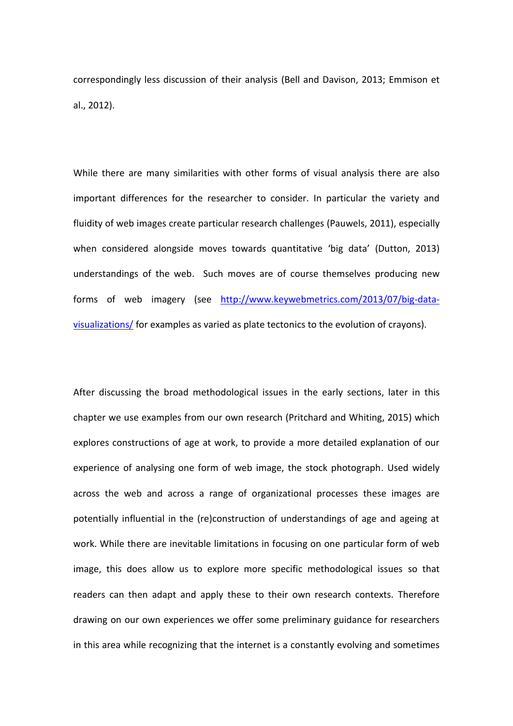correspondingly less discussion of their analysis (Bell and Davison, 2013; Emmison et al., 2012).

While there are many similarities with other forms of visual analysis there are also important differences for the researcher to consider. In particular the variety and fluidity of web images create particular research challenges (Pauwels, 2011), especially when considered alongside moves towards quantitative 'big data' (Dutton, 2013) understandings of the web. Such moves are of course themselves producing new forms of web imagery (see [http://www.keywebmetrics.com/2013/07/big-data](http://www.keywebmetrics.com/2013/07/big-data-visualizations/)[visualizations/](http://www.keywebmetrics.com/2013/07/big-data-visualizations/) for examples as varied as plate tectonics to the evolution of crayons).

After discussing the broad methodological issues in the early sections, later in this chapter we use examples from our own research (Pritchard and Whiting, 2015) which explores constructions of age at work, to provide a more detailed explanation of our experience of analysing one form of web image, the stock photograph. Used widely across the web and across a range of organizational processes these images are potentially influential in the (re)construction of understandings of age and ageing at work. While there are inevitable limitations in focusing on one particular form of web image, this does allow us to explore more specific methodological issues so that readers can then adapt and apply these to their own research contexts. Therefore drawing on our own experiences we offer some preliminary guidance for researchers in this area while recognizing that the internet is a constantly evolving and sometimes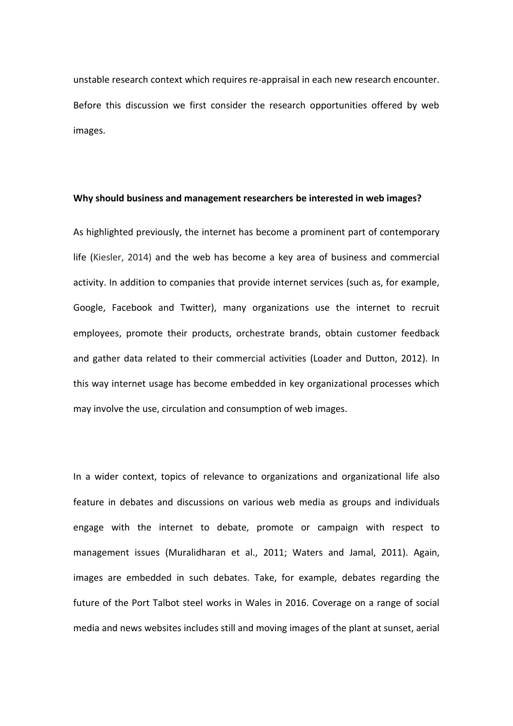unstable research context which requires re-appraisal in each new research encounter. Before this discussion we first consider the research opportunities offered by web images.

#### **Why should business and management researchers be interested in web images?**

As highlighted previously, the internet has become a prominent part of contemporary life (Kiesler, 2014) and the web has become a key area of business and commercial activity. In addition to companies that provide internet services (such as, for example, Google, Facebook and Twitter), many organizations use the internet to recruit employees, promote their products, orchestrate brands, obtain customer feedback and gather data related to their commercial activities (Loader and Dutton, 2012). In this way internet usage has become embedded in key organizational processes which may involve the use, circulation and consumption of web images.

In a wider context, topics of relevance to organizations and organizational life also feature in debates and discussions on various web media as groups and individuals engage with the internet to debate, promote or campaign with respect to management issues (Muralidharan et al., 2011; Waters and Jamal, 2011). Again, images are embedded in such debates. Take, for example, debates regarding the future of the Port Talbot steel works in Wales in 2016. Coverage on a range of social media and news websites includes still and moving images of the plant at sunset, aerial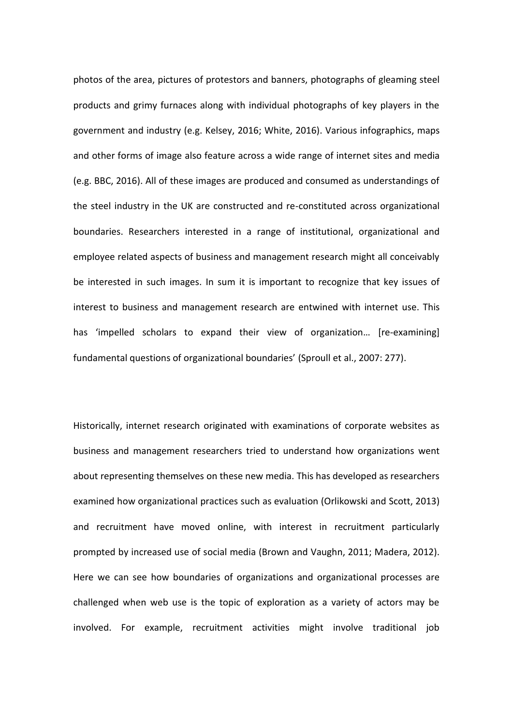photos of the area, pictures of protestors and banners, photographs of gleaming steel products and grimy furnaces along with individual photographs of key players in the government and industry (e.g. Kelsey, 2016; White, 2016). Various infographics, maps and other forms of image also feature across a wide range of internet sites and media (e.g. BBC, 2016). All of these images are produced and consumed as understandings of the steel industry in the UK are constructed and re-constituted across organizational boundaries. Researchers interested in a range of institutional, organizational and employee related aspects of business and management research might all conceivably be interested in such images. In sum it is important to recognize that key issues of interest to business and management research are entwined with internet use. This has 'impelled scholars to expand their view of organization… [re-examining] fundamental questions of organizational boundaries' (Sproull et al., 2007: 277).

Historically, internet research originated with examinations of corporate websites as business and management researchers tried to understand how organizations went about representing themselves on these new media. This has developed as researchers examined how organizational practices such as evaluation (Orlikowski and Scott, 2013) and recruitment have moved online, with interest in recruitment particularly prompted by increased use of social media (Brown and Vaughn, 2011; Madera, 2012). Here we can see how boundaries of organizations and organizational processes are challenged when web use is the topic of exploration as a variety of actors may be involved. For example, recruitment activities might involve traditional job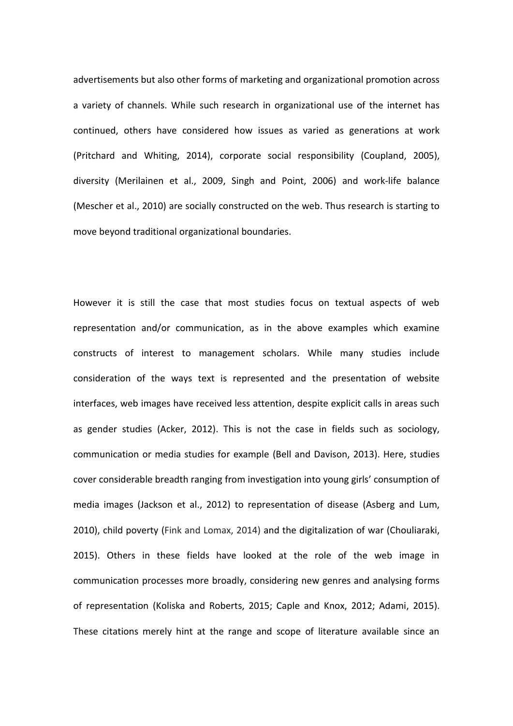advertisements but also other forms of marketing and organizational promotion across a variety of channels. While such research in organizational use of the internet has continued, others have considered how issues as varied as generations at work (Pritchard and Whiting, 2014), corporate social responsibility (Coupland, 2005), diversity (Merilainen et al., 2009, Singh and Point, 2006) and work-life balance (Mescher et al., 2010) are socially constructed on the web. Thus research is starting to move beyond traditional organizational boundaries.

However it is still the case that most studies focus on textual aspects of web representation and/or communication, as in the above examples which examine constructs of interest to management scholars. While many studies include consideration of the ways text is represented and the presentation of website interfaces, web images have received less attention, despite explicit calls in areas such as gender studies (Acker, 2012). This is not the case in fields such as sociology, communication or media studies for example (Bell and Davison, 2013). Here, studies cover considerable breadth ranging from investigation into young girls' consumption of media images (Jackson et al., 2012) to representation of disease (Asberg and Lum, 2010), child poverty (Fink and Lomax, 2014) and the digitalization of war (Chouliaraki, 2015). Others in these fields have looked at the role of the web image in communication processes more broadly, considering new genres and analysing forms of representation (Koliska and Roberts, 2015; Caple and Knox, 2012; Adami, 2015). These citations merely hint at the range and scope of literature available since an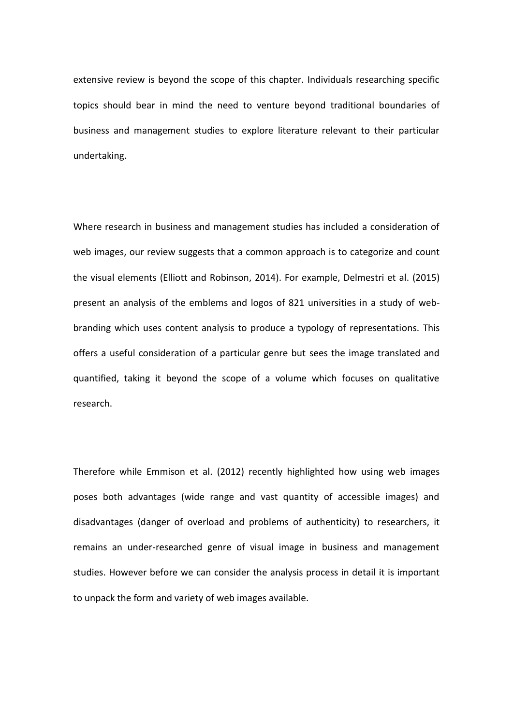extensive review is beyond the scope of this chapter. Individuals researching specific topics should bear in mind the need to venture beyond traditional boundaries of business and management studies to explore literature relevant to their particular undertaking.

Where research in business and management studies has included a consideration of web images, our review suggests that a common approach is to categorize and count the visual elements (Elliott and Robinson, 2014). For example, Delmestri et al. (2015) present an analysis of the emblems and logos of 821 universities in a study of webbranding which uses content analysis to produce a typology of representations. This offers a useful consideration of a particular genre but sees the image translated and quantified, taking it beyond the scope of a volume which focuses on qualitative research.

Therefore while Emmison et al. (2012) recently highlighted how using web images poses both advantages (wide range and vast quantity of accessible images) and disadvantages (danger of overload and problems of authenticity) to researchers, it remains an under-researched genre of visual image in business and management studies. However before we can consider the analysis process in detail it is important to unpack the form and variety of web images available.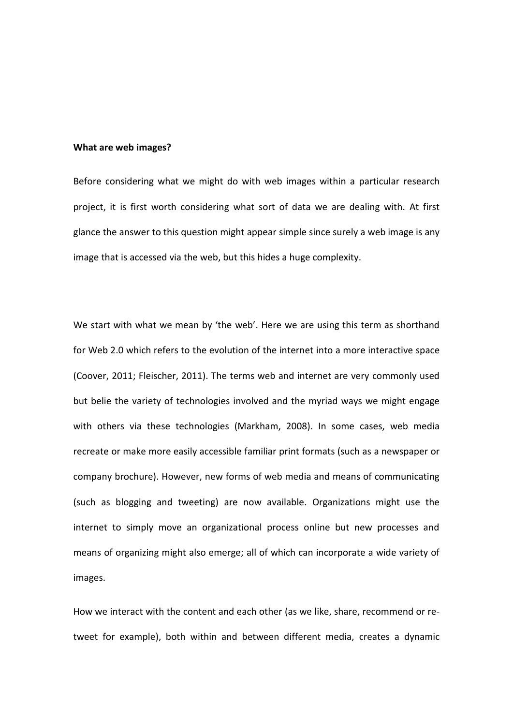#### **What are web images?**

Before considering what we might do with web images within a particular research project, it is first worth considering what sort of data we are dealing with. At first glance the answer to this question might appear simple since surely a web image is any image that is accessed via the web, but this hides a huge complexity.

We start with what we mean by 'the web'. Here we are using this term as shorthand for Web 2.0 which refers to the evolution of the internet into a more interactive space (Coover, 2011; Fleischer, 2011). The terms web and internet are very commonly used but belie the variety of technologies involved and the myriad ways we might engage with others via these technologies (Markham, 2008). In some cases, web media recreate or make more easily accessible familiar print formats (such as a newspaper or company brochure). However, new forms of web media and means of communicating (such as blogging and tweeting) are now available. Organizations might use the internet to simply move an organizational process online but new processes and means of organizing might also emerge; all of which can incorporate a wide variety of images.

How we interact with the content and each other (as we like, share, recommend or retweet for example), both within and between different media, creates a dynamic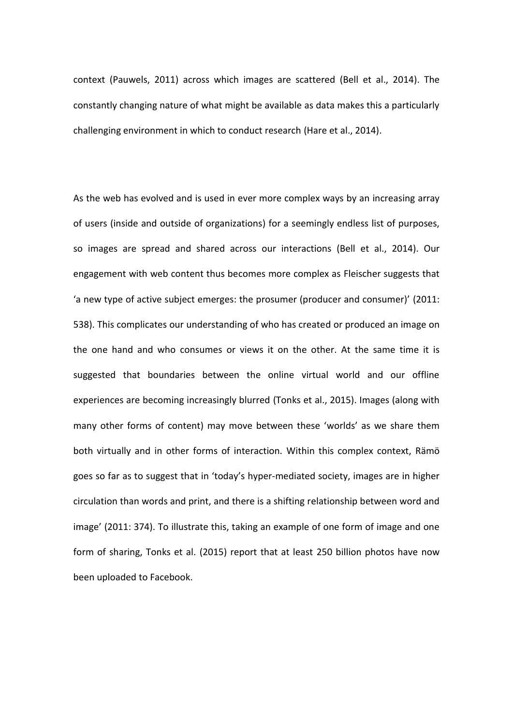context (Pauwels, 2011) across which images are scattered (Bell et al., 2014). The constantly changing nature of what might be available as data makes this a particularly challenging environment in which to conduct research (Hare et al., 2014).

As the web has evolved and is used in ever more complex ways by an increasing array of users (inside and outside of organizations) for a seemingly endless list of purposes, so images are spread and shared across our interactions (Bell et al., 2014). Our engagement with web content thus becomes more complex as Fleischer suggests that 'a new type of active subject emerges: the prosumer (producer and consumer)' (2011: 538). This complicates our understanding of who has created or produced an image on the one hand and who consumes or views it on the other. At the same time it is suggested that boundaries between the online virtual world and our offline experiences are becoming increasingly blurred (Tonks et al., 2015). Images (along with many other forms of content) may move between these 'worlds' as we share them both virtually and in other forms of interaction. Within this complex context, Rämö goes so far as to suggest that in 'today's hyper-mediated society, images are in higher circulation than words and print, and there is a shifting relationship between word and image' (2011: 374). To illustrate this, taking an example of one form of image and one form of sharing, Tonks et al. (2015) report that at least 250 billion photos have now been uploaded to Facebook.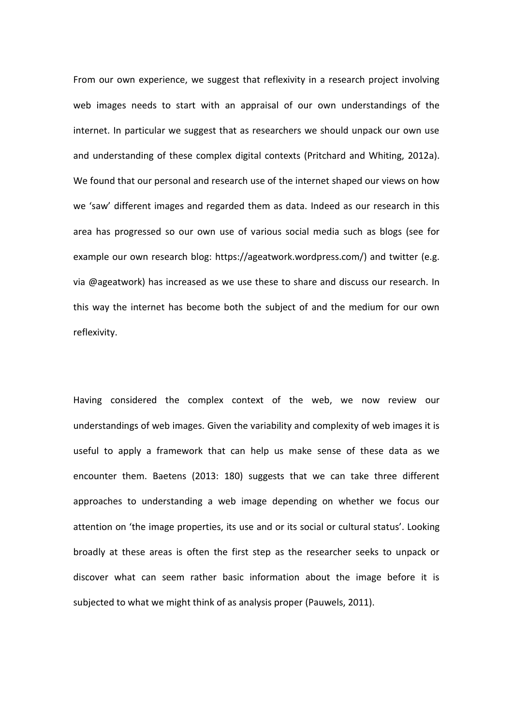From our own experience, we suggest that reflexivity in a research project involving web images needs to start with an appraisal of our own understandings of the internet. In particular we suggest that as researchers we should unpack our own use and understanding of these complex digital contexts (Pritchard and Whiting, 2012a). We found that our personal and research use of the internet shaped our views on how we 'saw' different images and regarded them as data. Indeed as our research in this area has progressed so our own use of various social media such as blogs (see for example our own research blog: https://ageatwork.wordpress.com/) and twitter (e.g. via @ageatwork) has increased as we use these to share and discuss our research. In this way the internet has become both the subject of and the medium for our own reflexivity.

Having considered the complex context of the web, we now review our understandings of web images. Given the variability and complexity of web images it is useful to apply a framework that can help us make sense of these data as we encounter them. Baetens (2013: 180) suggests that we can take three different approaches to understanding a web image depending on whether we focus our attention on 'the image properties, its use and or its social or cultural status'. Looking broadly at these areas is often the first step as the researcher seeks to unpack or discover what can seem rather basic information about the image before it is subjected to what we might think of as analysis proper (Pauwels, 2011).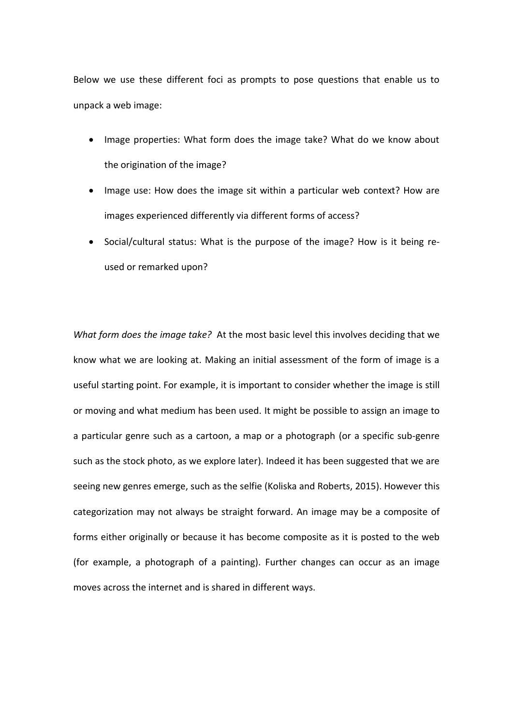Below we use these different foci as prompts to pose questions that enable us to unpack a web image:

- Image properties: What form does the image take? What do we know about the origination of the image?
- Image use: How does the image sit within a particular web context? How are images experienced differently via different forms of access?
- Social/cultural status: What is the purpose of the image? How is it being reused or remarked upon?

*What form does the image take?* At the most basic level this involves deciding that we know what we are looking at. Making an initial assessment of the form of image is a useful starting point. For example, it is important to consider whether the image is still or moving and what medium has been used. It might be possible to assign an image to a particular genre such as a cartoon, a map or a photograph (or a specific sub-genre such as the stock photo, as we explore later). Indeed it has been suggested that we are seeing new genres emerge, such as the selfie (Koliska and Roberts, 2015). However this categorization may not always be straight forward. An image may be a composite of forms either originally or because it has become composite as it is posted to the web (for example, a photograph of a painting). Further changes can occur as an image moves across the internet and is shared in different ways.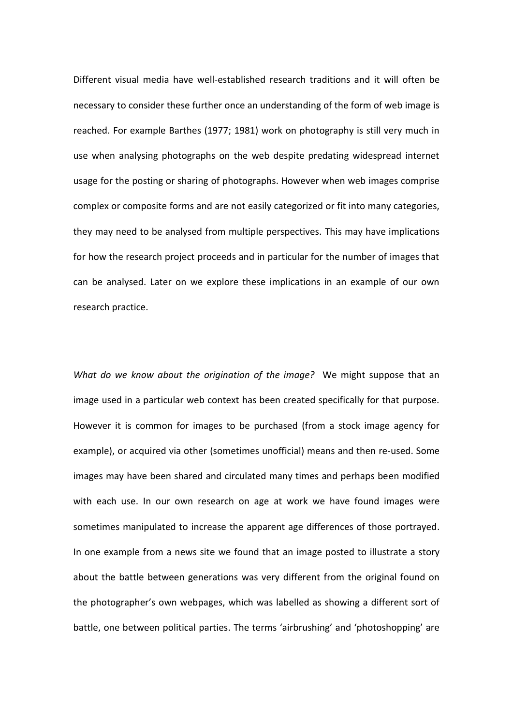Different visual media have well-established research traditions and it will often be necessary to consider these further once an understanding of the form of web image is reached. For example Barthes (1977; 1981) work on photography is still very much in use when analysing photographs on the web despite predating widespread internet usage for the posting or sharing of photographs. However when web images comprise complex or composite forms and are not easily categorized or fit into many categories, they may need to be analysed from multiple perspectives. This may have implications for how the research project proceeds and in particular for the number of images that can be analysed. Later on we explore these implications in an example of our own research practice.

*What do we know about the origination of the image?* We might suppose that an image used in a particular web context has been created specifically for that purpose. However it is common for images to be purchased (from a stock image agency for example), or acquired via other (sometimes unofficial) means and then re-used. Some images may have been shared and circulated many times and perhaps been modified with each use. In our own research on age at work we have found images were sometimes manipulated to increase the apparent age differences of those portrayed. In one example from a news site we found that an image posted to illustrate a story about the battle between generations was very different from the original found on the photographer's own webpages, which was labelled as showing a different sort of battle, one between political parties. The terms 'airbrushing' and 'photoshopping' are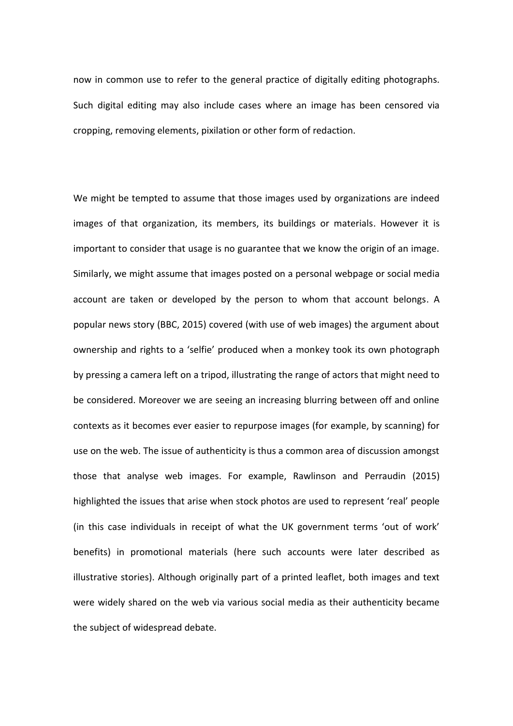now in common use to refer to the general practice of digitally editing photographs. Such digital editing may also include cases where an image has been censored via cropping, removing elements, pixilation or other form of redaction.

We might be tempted to assume that those images used by organizations are indeed images of that organization, its members, its buildings or materials. However it is important to consider that usage is no guarantee that we know the origin of an image. Similarly, we might assume that images posted on a personal webpage or social media account are taken or developed by the person to whom that account belongs. A popular news story (BBC, 2015) covered (with use of web images) the argument about ownership and rights to a 'selfie' produced when a monkey took its own photograph by pressing a camera left on a tripod, illustrating the range of actors that might need to be considered. Moreover we are seeing an increasing blurring between off and online contexts as it becomes ever easier to repurpose images (for example, by scanning) for use on the web. The issue of authenticity is thus a common area of discussion amongst those that analyse web images. For example, Rawlinson and Perraudin (2015) highlighted the issues that arise when stock photos are used to represent 'real' people (in this case individuals in receipt of what the UK government terms 'out of work' benefits) in promotional materials (here such accounts were later described as illustrative stories). Although originally part of a printed leaflet, both images and text were widely shared on the web via various social media as their authenticity became the subject of widespread debate.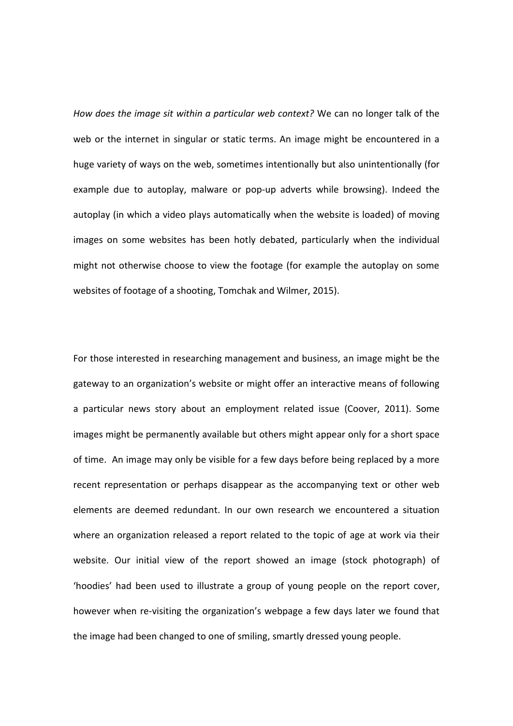*How does the image sit within a particular web context?* We can no longer talk of the web or the internet in singular or static terms. An image might be encountered in a huge variety of ways on the web, sometimes intentionally but also unintentionally (for example due to autoplay, malware or pop-up adverts while browsing). Indeed the autoplay (in which a video plays automatically when the website is loaded) of moving images on some websites has been hotly debated, particularly when the individual might not otherwise choose to view the footage (for example the autoplay on some websites of footage of a shooting, Tomchak and Wilmer, 2015).

For those interested in researching management and business, an image might be the gateway to an organization's website or might offer an interactive means of following a particular news story about an employment related issue (Coover, 2011). Some images might be permanently available but others might appear only for a short space of time. An image may only be visible for a few days before being replaced by a more recent representation or perhaps disappear as the accompanying text or other web elements are deemed redundant. In our own research we encountered a situation where an organization released a report related to the topic of age at work via their website. Our initial view of the report showed an image (stock photograph) of 'hoodies' had been used to illustrate a group of young people on the report cover, however when re-visiting the organization's webpage a few days later we found that the image had been changed to one of smiling, smartly dressed young people.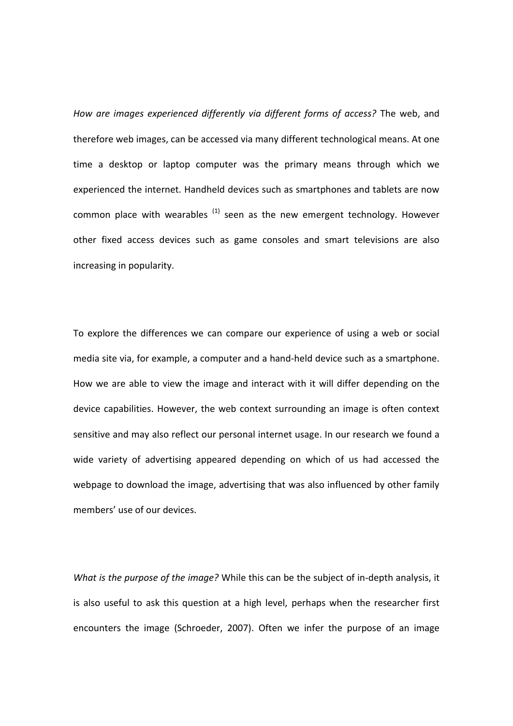*How are images experienced differently via different forms of access?* The web, and therefore web images, can be accessed via many different technological means. At one time a desktop or laptop computer was the primary means through which we experienced the internet. Handheld devices such as smartphones and tablets are now common place with wearables  $(1)$  seen as the new emergent technology. However other fixed access devices such as game consoles and smart televisions are also increasing in popularity.

To explore the differences we can compare our experience of using a web or social media site via, for example, a computer and a hand-held device such as a smartphone. How we are able to view the image and interact with it will differ depending on the device capabilities. However, the web context surrounding an image is often context sensitive and may also reflect our personal internet usage. In our research we found a wide variety of advertising appeared depending on which of us had accessed the webpage to download the image, advertising that was also influenced by other family members' use of our devices.

*What is the purpose of the image?* While this can be the subject of in-depth analysis, it is also useful to ask this question at a high level, perhaps when the researcher first encounters the image (Schroeder, 2007). Often we infer the purpose of an image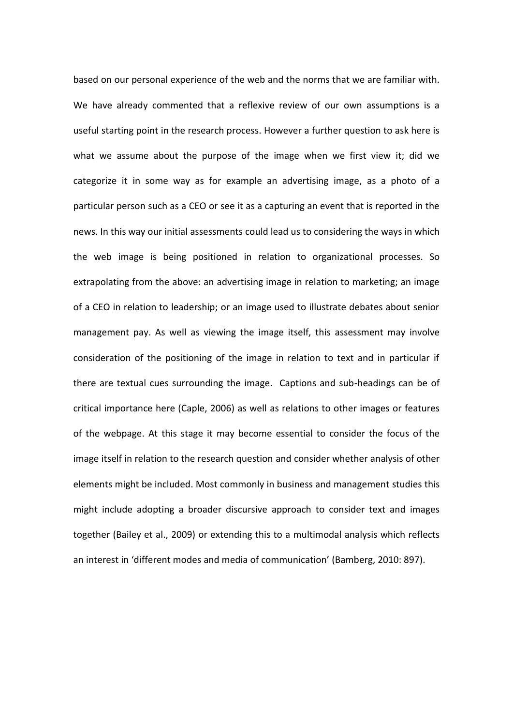based on our personal experience of the web and the norms that we are familiar with. We have already commented that a reflexive review of our own assumptions is a useful starting point in the research process. However a further question to ask here is what we assume about the purpose of the image when we first view it; did we categorize it in some way as for example an advertising image, as a photo of a particular person such as a CEO or see it as a capturing an event that is reported in the news. In this way our initial assessments could lead us to considering the ways in which the web image is being positioned in relation to organizational processes. So extrapolating from the above: an advertising image in relation to marketing; an image of a CEO in relation to leadership; or an image used to illustrate debates about senior management pay. As well as viewing the image itself, this assessment may involve consideration of the positioning of the image in relation to text and in particular if there are textual cues surrounding the image. Captions and sub-headings can be of critical importance here (Caple, 2006) as well as relations to other images or features of the webpage. At this stage it may become essential to consider the focus of the image itself in relation to the research question and consider whether analysis of other elements might be included. Most commonly in business and management studies this might include adopting a broader discursive approach to consider text and images together (Bailey et al., 2009) or extending this to a multimodal analysis which reflects an interest in 'different modes and media of communication' (Bamberg, 2010: 897).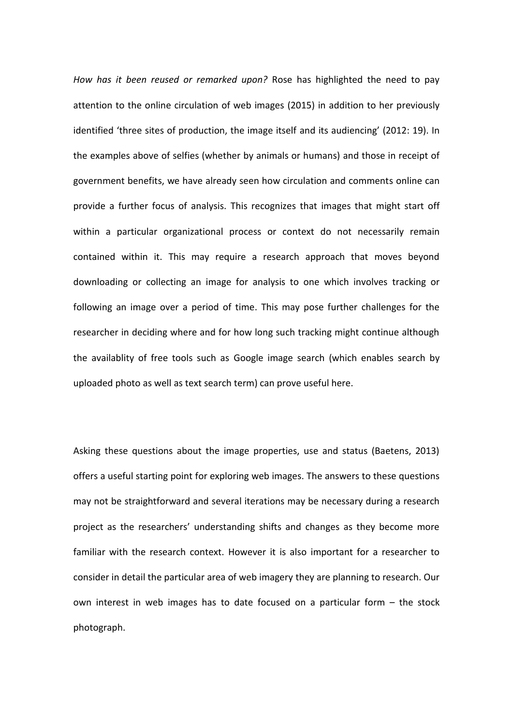*How has it been reused or remarked upon?* Rose has highlighted the need to pay attention to the online circulation of web images (2015) in addition to her previously identified 'three sites of production, the image itself and its audiencing' (2012: 19). In the examples above of selfies (whether by animals or humans) and those in receipt of government benefits, we have already seen how circulation and comments online can provide a further focus of analysis. This recognizes that images that might start off within a particular organizational process or context do not necessarily remain contained within it. This may require a research approach that moves beyond downloading or collecting an image for analysis to one which involves tracking or following an image over a period of time. This may pose further challenges for the researcher in deciding where and for how long such tracking might continue although the availablity of free tools such as Google image search (which enables search by uploaded photo as well as text search term) can prove useful here.

Asking these questions about the image properties, use and status (Baetens, 2013) offers a useful starting point for exploring web images. The answers to these questions may not be straightforward and several iterations may be necessary during a research project as the researchers' understanding shifts and changes as they become more familiar with the research context. However it is also important for a researcher to consider in detail the particular area of web imagery they are planning to research. Our own interest in web images has to date focused on a particular form – the stock photograph.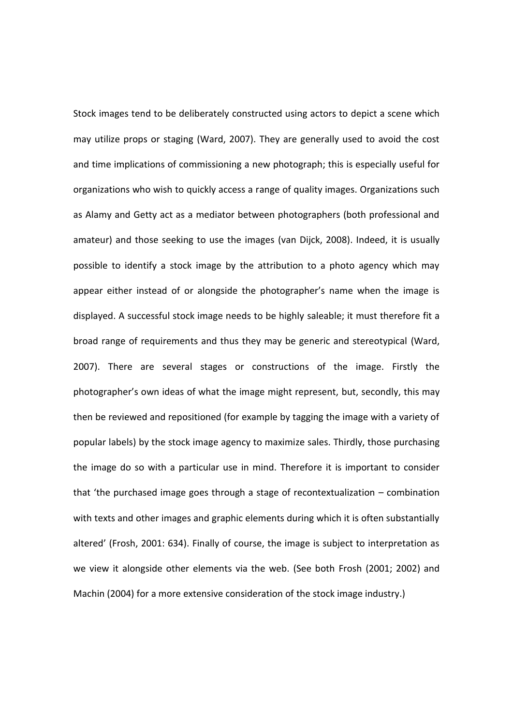Stock images tend to be deliberately constructed using actors to depict a scene which may utilize props or staging (Ward, 2007). They are generally used to avoid the cost and time implications of commissioning a new photograph; this is especially useful for organizations who wish to quickly access a range of quality images. Organizations such as Alamy and Getty act as a mediator between photographers (both professional and amateur) and those seeking to use the images (van Dijck, 2008). Indeed, it is usually possible to identify a stock image by the attribution to a photo agency which may appear either instead of or alongside the photographer's name when the image is displayed. A successful stock image needs to be highly saleable; it must therefore fit a broad range of requirements and thus they may be generic and stereotypical (Ward, 2007). There are several stages or constructions of the image. Firstly the photographer's own ideas of what the image might represent, but, secondly, this may then be reviewed and repositioned (for example by tagging the image with a variety of popular labels) by the stock image agency to maximize sales. Thirdly, those purchasing the image do so with a particular use in mind. Therefore it is important to consider that 'the purchased image goes through a stage of recontextualization – combination with texts and other images and graphic elements during which it is often substantially altered' (Frosh, 2001: 634). Finally of course, the image is subject to interpretation as we view it alongside other elements via the web. (See both Frosh (2001; 2002) and Machin (2004) for a more extensive consideration of the stock image industry.)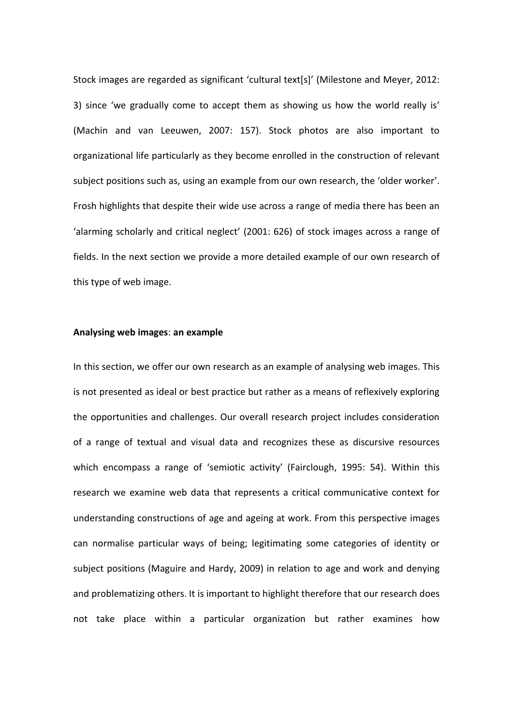Stock images are regarded as significant 'cultural text[s]' (Milestone and Meyer, 2012: 3) since 'we gradually come to accept them as showing us how the world really is' (Machin and van Leeuwen, 2007: 157). Stock photos are also important to organizational life particularly as they become enrolled in the construction of relevant subject positions such as, using an example from our own research, the 'older worker'. Frosh highlights that despite their wide use across a range of media there has been an 'alarming scholarly and critical neglect' (2001: 626) of stock images across a range of fields. In the next section we provide a more detailed example of our own research of this type of web image.

#### **Analysing web images**: **an example**

In this section, we offer our own research as an example of analysing web images. This is not presented as ideal or best practice but rather as a means of reflexively exploring the opportunities and challenges. Our overall research project includes consideration of a range of textual and visual data and recognizes these as discursive resources which encompass a range of 'semiotic activity' (Fairclough, 1995: 54). Within this research we examine web data that represents a critical communicative context for understanding constructions of age and ageing at work. From this perspective images can normalise particular ways of being; legitimating some categories of identity or subject positions (Maguire and Hardy, 2009) in relation to age and work and denying and problematizing others. It is important to highlight therefore that our research does not take place within a particular organization but rather examines how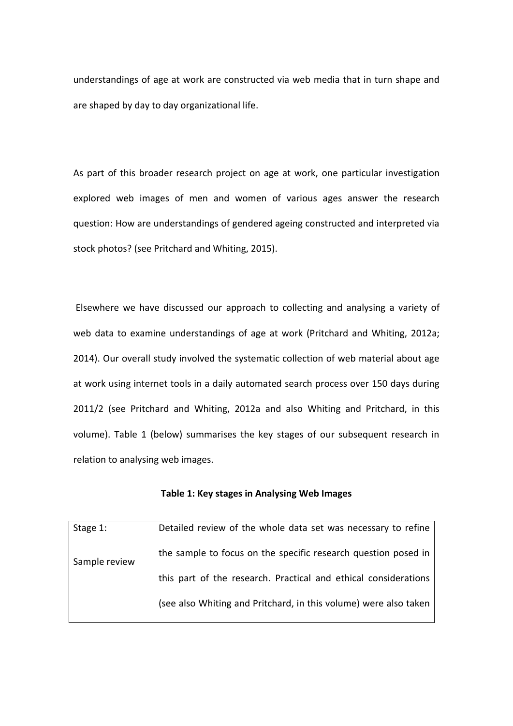understandings of age at work are constructed via web media that in turn shape and are shaped by day to day organizational life.

As part of this broader research project on age at work, one particular investigation explored web images of men and women of various ages answer the research question: How are understandings of gendered ageing constructed and interpreted via stock photos? (see Pritchard and Whiting, 2015).

Elsewhere we have discussed our approach to collecting and analysing a variety of web data to examine understandings of age at work (Pritchard and Whiting, 2012a; 2014). Our overall study involved the systematic collection of web material about age at work using internet tools in a daily automated search process over 150 days during 2011/2 (see Pritchard and Whiting, 2012a and also Whiting and Pritchard, in this volume). Table 1 (below) summarises the key stages of our subsequent research in relation to analysing web images.

| Table 1: Key stages in Analysing Web Images |  |  |  |  |
|---------------------------------------------|--|--|--|--|
|---------------------------------------------|--|--|--|--|

| Stage 1:      | Detailed review of the whole data set was necessary to refine    |
|---------------|------------------------------------------------------------------|
| Sample review | the sample to focus on the specific research question posed in   |
|               | this part of the research. Practical and ethical considerations  |
|               | (see also Whiting and Pritchard, in this volume) were also taken |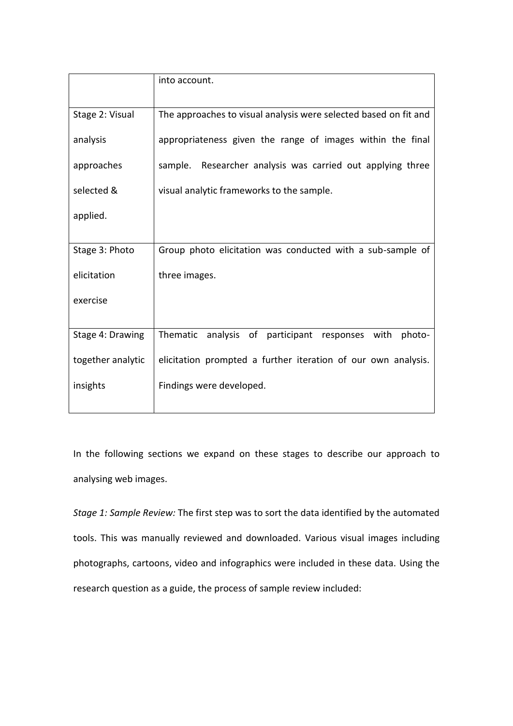|                   | into account.                                                    |
|-------------------|------------------------------------------------------------------|
| Stage 2: Visual   | The approaches to visual analysis were selected based on fit and |
| analysis          | appropriateness given the range of images within the final       |
| approaches        | sample. Researcher analysis was carried out applying three       |
| selected &        | visual analytic frameworks to the sample.                        |
| applied.          |                                                                  |
|                   |                                                                  |
| Stage 3: Photo    | Group photo elicitation was conducted with a sub-sample of       |
| elicitation       | three images.                                                    |
| exercise          |                                                                  |
|                   |                                                                  |
| Stage 4: Drawing  | Thematic<br>analysis of<br>participant responses with<br>photo-  |
| together analytic | elicitation prompted a further iteration of our own analysis.    |
| insights          | Findings were developed.                                         |
|                   |                                                                  |

In the following sections we expand on these stages to describe our approach to analysing web images.

*Stage 1: Sample Review:* The first step was to sort the data identified by the automated tools. This was manually reviewed and downloaded. Various visual images including photographs, cartoons, video and infographics were included in these data. Using the research question as a guide, the process of sample review included: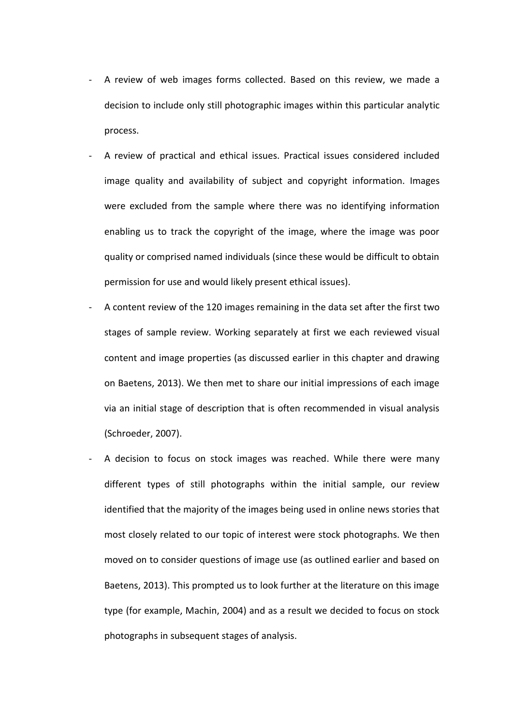- A review of web images forms collected. Based on this review, we made a decision to include only still photographic images within this particular analytic process.
- A review of practical and ethical issues. Practical issues considered included image quality and availability of subject and copyright information. Images were excluded from the sample where there was no identifying information enabling us to track the copyright of the image, where the image was poor quality or comprised named individuals (since these would be difficult to obtain permission for use and would likely present ethical issues).
- A content review of the 120 images remaining in the data set after the first two stages of sample review. Working separately at first we each reviewed visual content and image properties (as discussed earlier in this chapter and drawing on Baetens, 2013). We then met to share our initial impressions of each image via an initial stage of description that is often recommended in visual analysis (Schroeder, 2007).
- A decision to focus on stock images was reached. While there were many different types of still photographs within the initial sample, our review identified that the majority of the images being used in online news stories that most closely related to our topic of interest were stock photographs. We then moved on to consider questions of image use (as outlined earlier and based on Baetens, 2013). This prompted us to look further at the literature on this image type (for example, Machin, 2004) and as a result we decided to focus on stock photographs in subsequent stages of analysis.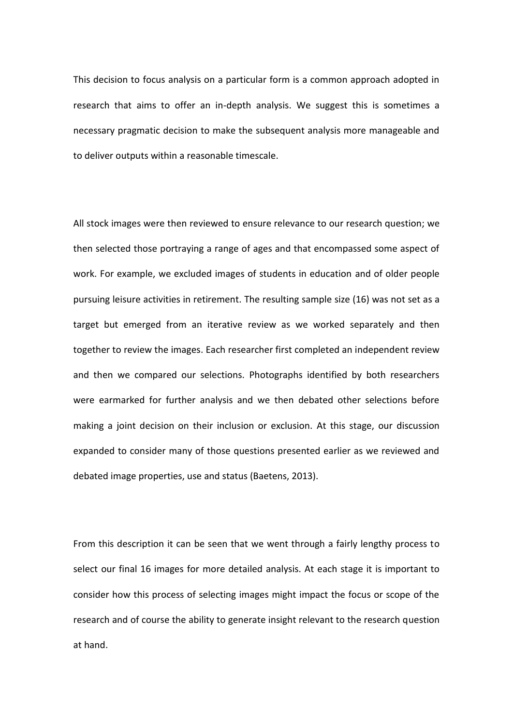This decision to focus analysis on a particular form is a common approach adopted in research that aims to offer an in-depth analysis. We suggest this is sometimes a necessary pragmatic decision to make the subsequent analysis more manageable and to deliver outputs within a reasonable timescale.

All stock images were then reviewed to ensure relevance to our research question; we then selected those portraying a range of ages and that encompassed some aspect of work. For example, we excluded images of students in education and of older people pursuing leisure activities in retirement. The resulting sample size (16) was not set as a target but emerged from an iterative review as we worked separately and then together to review the images. Each researcher first completed an independent review and then we compared our selections. Photographs identified by both researchers were earmarked for further analysis and we then debated other selections before making a joint decision on their inclusion or exclusion. At this stage, our discussion expanded to consider many of those questions presented earlier as we reviewed and debated image properties, use and status (Baetens, 2013).

From this description it can be seen that we went through a fairly lengthy process to select our final 16 images for more detailed analysis. At each stage it is important to consider how this process of selecting images might impact the focus or scope of the research and of course the ability to generate insight relevant to the research question at hand.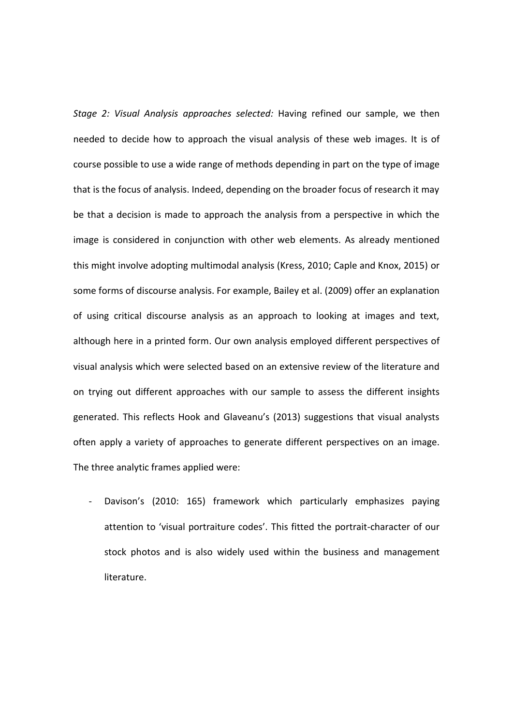*Stage 2: Visual Analysis approaches selected:* Having refined our sample, we then needed to decide how to approach the visual analysis of these web images. It is of course possible to use a wide range of methods depending in part on the type of image that is the focus of analysis. Indeed, depending on the broader focus of research it may be that a decision is made to approach the analysis from a perspective in which the image is considered in conjunction with other web elements. As already mentioned this might involve adopting multimodal analysis (Kress, 2010; Caple and Knox, 2015) or some forms of discourse analysis. For example, Bailey et al. (2009) offer an explanation of using critical discourse analysis as an approach to looking at images and text, although here in a printed form. Our own analysis employed different perspectives of visual analysis which were selected based on an extensive review of the literature and on trying out different approaches with our sample to assess the different insights generated. This reflects Hook and Glaveanu's (2013) suggestions that visual analysts often apply a variety of approaches to generate different perspectives on an image. The three analytic frames applied were:

Davison's (2010: 165) framework which particularly emphasizes paying attention to 'visual portraiture codes'. This fitted the portrait-character of our stock photos and is also widely used within the business and management literature.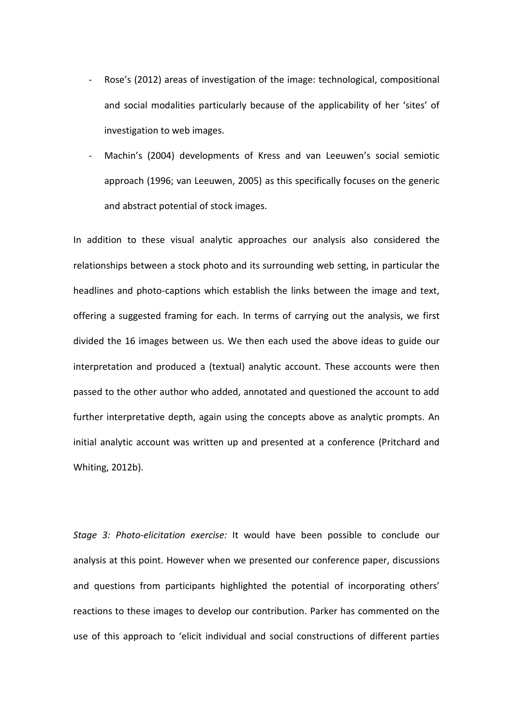- Rose's (2012) areas of investigation of the image: technological, compositional and social modalities particularly because of the applicability of her 'sites' of investigation to web images.
- Machin's (2004) developments of Kress and van Leeuwen's social semiotic approach (1996; van Leeuwen, 2005) as this specifically focuses on the generic and abstract potential of stock images.

In addition to these visual analytic approaches our analysis also considered the relationships between a stock photo and its surrounding web setting, in particular the headlines and photo-captions which establish the links between the image and text, offering a suggested framing for each. In terms of carrying out the analysis, we first divided the 16 images between us. We then each used the above ideas to guide our interpretation and produced a (textual) analytic account. These accounts were then passed to the other author who added, annotated and questioned the account to add further interpretative depth, again using the concepts above as analytic prompts. An initial analytic account was written up and presented at a conference (Pritchard and Whiting, 2012b).

*Stage 3: Photo-elicitation exercise:* It would have been possible to conclude our analysis at this point. However when we presented our conference paper, discussions and questions from participants highlighted the potential of incorporating others' reactions to these images to develop our contribution. Parker has commented on the use of this approach to 'elicit individual and social constructions of different parties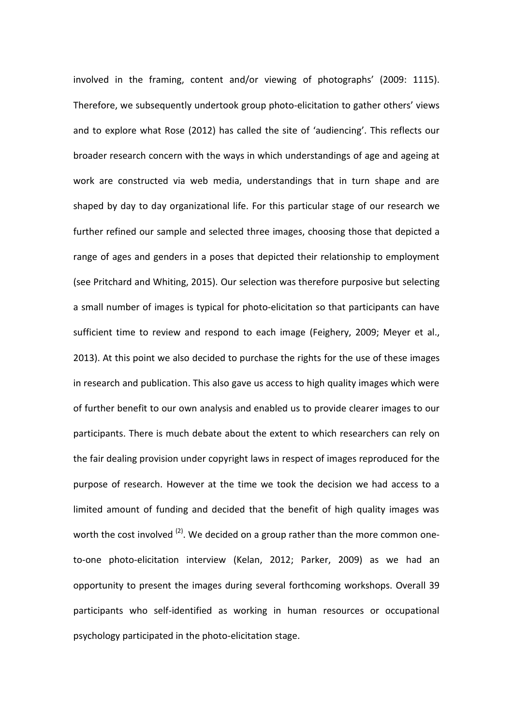involved in the framing, content and/or viewing of photographs' (2009: 1115). Therefore, we subsequently undertook group photo-elicitation to gather others' views and to explore what Rose (2012) has called the site of 'audiencing'. This reflects our broader research concern with the ways in which understandings of age and ageing at work are constructed via web media, understandings that in turn shape and are shaped by day to day organizational life. For this particular stage of our research we further refined our sample and selected three images, choosing those that depicted a range of ages and genders in a poses that depicted their relationship to employment (see Pritchard and Whiting, 2015). Our selection was therefore purposive but selecting a small number of images is typical for photo-elicitation so that participants can have sufficient time to review and respond to each image (Feighery, 2009; Meyer et al., 2013). At this point we also decided to purchase the rights for the use of these images in research and publication. This also gave us access to high quality images which were of further benefit to our own analysis and enabled us to provide clearer images to our participants. There is much debate about the extent to which researchers can rely on the fair dealing provision under copyright laws in respect of images reproduced for the purpose of research. However at the time we took the decision we had access to a limited amount of funding and decided that the benefit of high quality images was worth the cost involved <sup>(2)</sup>. We decided on a group rather than the more common oneto-one photo-elicitation interview (Kelan, 2012; Parker, 2009) as we had an opportunity to present the images during several forthcoming workshops. Overall 39 participants who self-identified as working in human resources or occupational psychology participated in the photo-elicitation stage.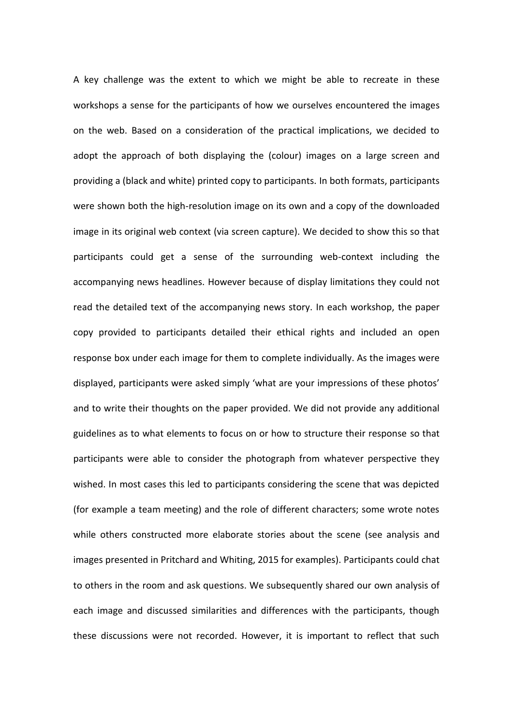A key challenge was the extent to which we might be able to recreate in these workshops a sense for the participants of how we ourselves encountered the images on the web. Based on a consideration of the practical implications, we decided to adopt the approach of both displaying the (colour) images on a large screen and providing a (black and white) printed copy to participants. In both formats, participants were shown both the high-resolution image on its own and a copy of the downloaded image in its original web context (via screen capture). We decided to show this so that participants could get a sense of the surrounding web-context including the accompanying news headlines. However because of display limitations they could not read the detailed text of the accompanying news story. In each workshop, the paper copy provided to participants detailed their ethical rights and included an open response box under each image for them to complete individually. As the images were displayed, participants were asked simply 'what are your impressions of these photos' and to write their thoughts on the paper provided. We did not provide any additional guidelines as to what elements to focus on or how to structure their response so that participants were able to consider the photograph from whatever perspective they wished. In most cases this led to participants considering the scene that was depicted (for example a team meeting) and the role of different characters; some wrote notes while others constructed more elaborate stories about the scene (see analysis and images presented in Pritchard and Whiting, 2015 for examples). Participants could chat to others in the room and ask questions. We subsequently shared our own analysis of each image and discussed similarities and differences with the participants, though these discussions were not recorded. However, it is important to reflect that such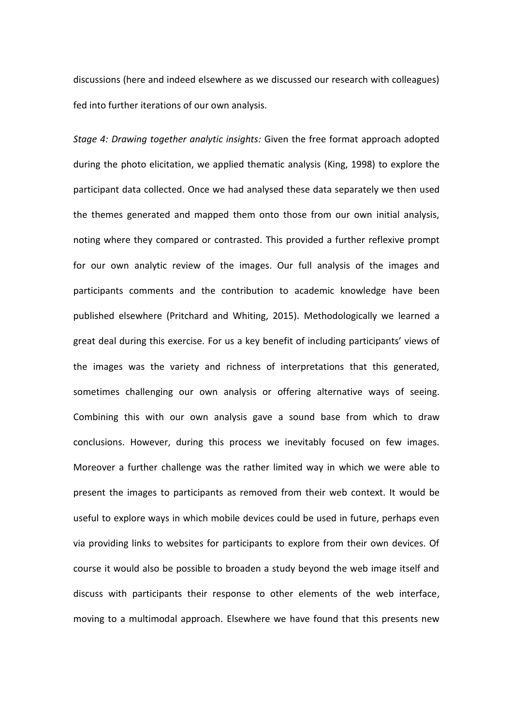discussions (here and indeed elsewhere as we discussed our research with colleagues) fed into further iterations of our own analysis.

*Stage 4: Drawing together analytic insights:* Given the free format approach adopted during the photo elicitation, we applied thematic analysis (King, 1998) to explore the participant data collected. Once we had analysed these data separately we then used the themes generated and mapped them onto those from our own initial analysis, noting where they compared or contrasted. This provided a further reflexive prompt for our own analytic review of the images. Our full analysis of the images and participants comments and the contribution to academic knowledge have been published elsewhere (Pritchard and Whiting, 2015). Methodologically we learned a great deal during this exercise. For us a key benefit of including participants' views of the images was the variety and richness of interpretations that this generated, sometimes challenging our own analysis or offering alternative ways of seeing. Combining this with our own analysis gave a sound base from which to draw conclusions. However, during this process we inevitably focused on few images. Moreover a further challenge was the rather limited way in which we were able to present the images to participants as removed from their web context. It would be useful to explore ways in which mobile devices could be used in future, perhaps even via providing links to websites for participants to explore from their own devices. Of course it would also be possible to broaden a study beyond the web image itself and discuss with participants their response to other elements of the web interface, moving to a multimodal approach. Elsewhere we have found that this presents new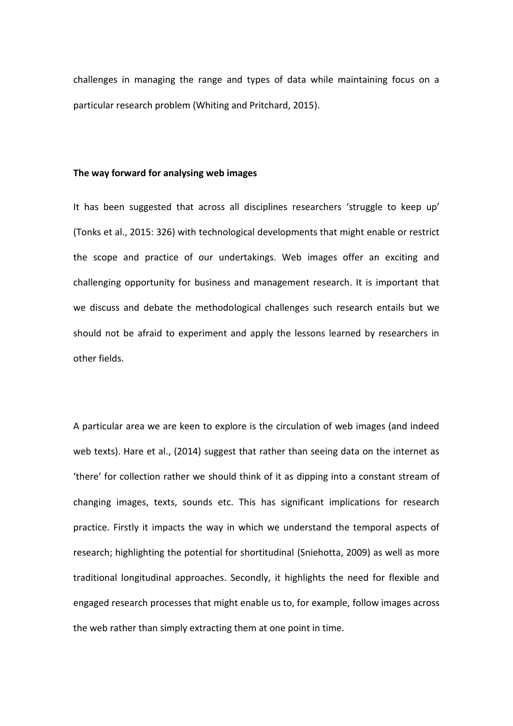challenges in managing the range and types of data while maintaining focus on a particular research problem (Whiting and Pritchard, 2015).

#### **The way forward for analysing web images**

It has been suggested that across all disciplines researchers 'struggle to keep up' (Tonks et al., 2015: 326) with technological developments that might enable or restrict the scope and practice of our undertakings. Web images offer an exciting and challenging opportunity for business and management research. It is important that we discuss and debate the methodological challenges such research entails but we should not be afraid to experiment and apply the lessons learned by researchers in other fields.

A particular area we are keen to explore is the circulation of web images (and indeed web texts). Hare et al., (2014) suggest that rather than seeing data on the internet as 'there' for collection rather we should think of it as dipping into a constant stream of changing images, texts, sounds etc. This has significant implications for research practice. Firstly it impacts the way in which we understand the temporal aspects of research; highlighting the potential for shortitudinal (Sniehotta, 2009) as well as more traditional longitudinal approaches. Secondly, it highlights the need for flexible and engaged research processes that might enable us to, for example, follow images across the web rather than simply extracting them at one point in time.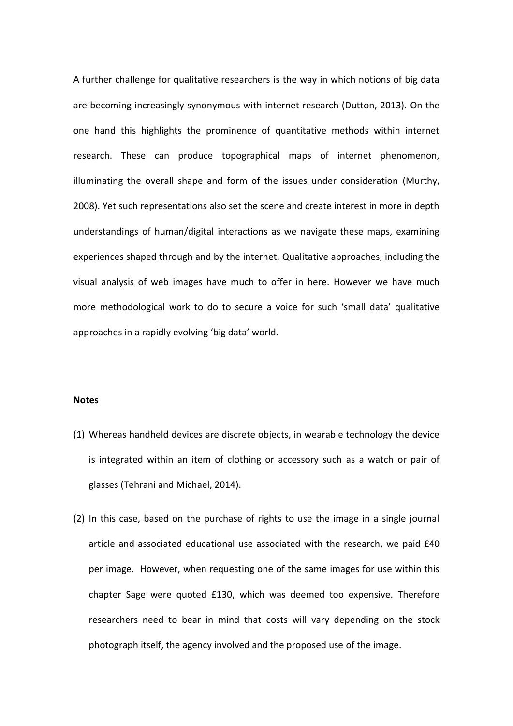A further challenge for qualitative researchers is the way in which notions of big data are becoming increasingly synonymous with internet research (Dutton, 2013). On the one hand this highlights the prominence of quantitative methods within internet research. These can produce topographical maps of internet phenomenon, illuminating the overall shape and form of the issues under consideration (Murthy, 2008). Yet such representations also set the scene and create interest in more in depth understandings of human/digital interactions as we navigate these maps, examining experiences shaped through and by the internet. Qualitative approaches, including the visual analysis of web images have much to offer in here. However we have much more methodological work to do to secure a voice for such 'small data' qualitative approaches in a rapidly evolving 'big data' world.

# **Notes**

- (1) Whereas handheld devices are discrete objects, in wearable technology the device is integrated within an item of clothing or accessory such as a watch or pair of glasses (Tehrani and Michael, 2014).
- (2) In this case, based on the purchase of rights to use the image in a single journal article and associated educational use associated with the research, we paid £40 per image. However, when requesting one of the same images for use within this chapter Sage were quoted £130, which was deemed too expensive. Therefore researchers need to bear in mind that costs will vary depending on the stock photograph itself, the agency involved and the proposed use of the image.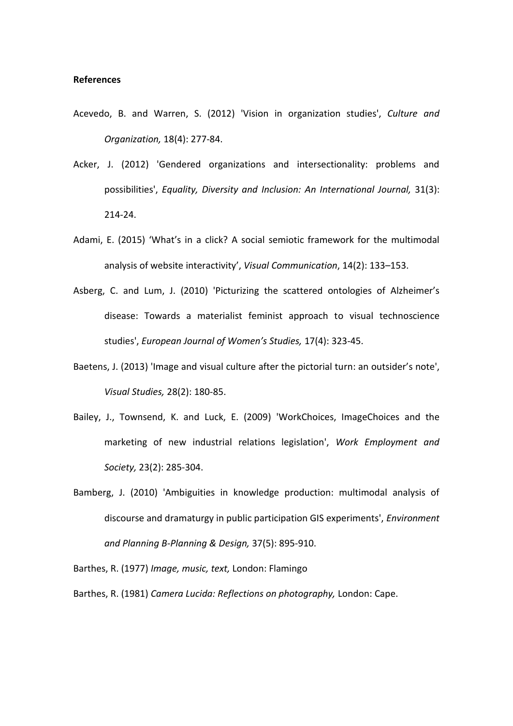## **References**

- Acevedo, B. and Warren, S. (2012) 'Vision in organization studies', *Culture and Organization,* 18(4): 277-84.
- Acker, J. (2012) 'Gendered organizations and intersectionality: problems and possibilities', *Equality, Diversity and Inclusion: An International Journal,* 31(3): 214-24.
- Adami, E. (2015) 'What's in a click? A social semiotic framework for the multimodal analysis of website interactivity', *Visual Communication*, 14(2): 133–153.
- Asberg, C. and Lum, J. (2010) 'Picturizing the scattered ontologies of Alzheimer's disease: Towards a materialist feminist approach to visual technoscience studies', *European Journal of Women's Studies,* 17(4): 323-45.
- Baetens, J. (2013) 'Image and visual culture after the pictorial turn: an outsider's note', *Visual Studies,* 28(2): 180-85.
- Bailey, J., Townsend, K. and Luck, E. (2009) 'WorkChoices, ImageChoices and the marketing of new industrial relations legislation', *Work Employment and Society,* 23(2): 285-304.
- Bamberg, J. (2010) 'Ambiguities in knowledge production: multimodal analysis of discourse and dramaturgy in public participation GIS experiments', *Environment and Planning B-Planning & Design,* 37(5): 895-910.

Barthes, R. (1977) *Image, music, text,* London: Flamingo

Barthes, R. (1981) *Camera Lucida: Reflections on photography,* London: Cape.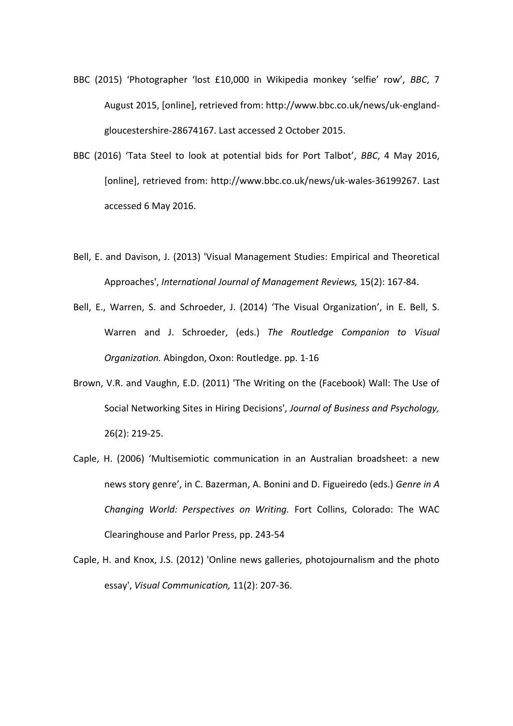- BBC (2015) 'Photographer 'lost £10,000 in Wikipedia monkey 'selfie' row', *BBC*, 7 August 2015, [online], retrieved from: http://www.bbc.co.uk/news/uk-englandgloucestershire-28674167. Last accessed 2 October 2015.
- BBC (2016) 'Tata Steel to look at potential bids for Port Talbot', *BBC*, 4 May 2016, [online], retrieved from: [http://www.bbc.co.uk/news/uk-wales-36199267.](http://www.bbc.co.uk/news/uk-wales-36199267) Last accessed 6 May 2016.
- Bell, E. and Davison, J. (2013) 'Visual Management Studies: Empirical and Theoretical Approaches', *International Journal of Management Reviews,* 15(2): 167-84.
- Bell, E., Warren, S. and Schroeder, J. (2014) 'The Visual Organization', in E. Bell, S. Warren and J. Schroeder, (eds.) *The Routledge Companion to Visual Organization.* Abingdon, Oxon: Routledge. pp. 1-16
- Brown, V.R. and Vaughn, E.D. (2011) 'The Writing on the (Facebook) Wall: The Use of Social Networking Sites in Hiring Decisions', *Journal of Business and Psychology,* 26(2): 219-25.
- Caple, H. (2006) 'Multisemiotic communication in an Australian broadsheet: a new news story genre', in C. Bazerman, A. Bonini and D. Figueiredo (eds.) *Genre in A Changing World: Perspectives on Writing.* Fort Collins, Colorado: The WAC Clearinghouse and Parlor Press, pp. 243-54
- Caple, H. and Knox, J.S. (2012) 'Online news galleries, photojournalism and the photo essay', *Visual Communication,* 11(2): 207-36.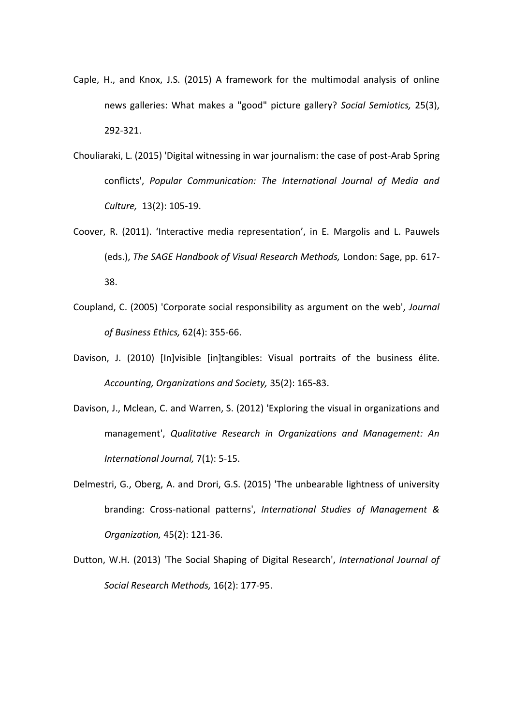- Caple, H., and Knox, J.S. (2015) A framework for the multimodal analysis of online news galleries: What makes a "good" picture gallery? *Social Semiotics,* 25(3), 292-321.
- Chouliaraki, L. (2015) 'Digital witnessing in war journalism: the case of post-Arab Spring conflicts', *Popular Communication: The International Journal of Media and Culture,* 13(2): 105-19.
- Coover, R. (2011). 'Interactive media representation', in E. Margolis and L. Pauwels (eds.), *The SAGE Handbook of Visual Research Methods,* London: Sage, pp. 617- 38.
- Coupland, C. (2005) 'Corporate social responsibility as argument on the web', *Journal of Business Ethics,* 62(4): 355-66.
- Davison, J. (2010) [In]visible [in]tangibles: Visual portraits of the business élite. *Accounting, Organizations and Society,* 35(2): 165-83.
- Davison, J., Mclean, C. and Warren, S. (2012) 'Exploring the visual in organizations and management', *Qualitative Research in Organizations and Management: An International Journal,* 7(1): 5-15.
- Delmestri, G., Oberg, A. and Drori, G.S. (2015) 'The unbearable lightness of university branding: Cross-national patterns', *International Studies of Management & Organization,* 45(2): 121-36.
- Dutton, W.H. (2013) 'The Social Shaping of Digital Research', *International Journal of Social Research Methods,* 16(2): 177-95.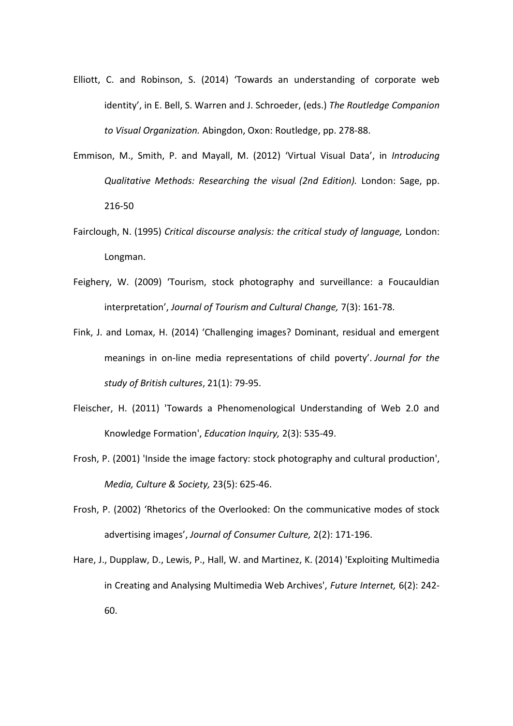- Elliott, C. and Robinson, S. (2014) 'Towards an understanding of corporate web identity', in E. Bell, S. Warren and J. Schroeder, (eds.) *The Routledge Companion to Visual Organization.* Abingdon, Oxon: Routledge, pp. 278-88.
- Emmison, M., Smith, P. and Mayall, M. (2012) 'Virtual Visual Data', in *Introducing Qualitative Methods: Researching the visual (2nd Edition).* London: Sage, pp. 216-50
- Fairclough, N. (1995) *Critical discourse analysis: the critical study of language,* London: Longman.
- Feighery, W. (2009) 'Tourism, stock photography and surveillance: a Foucauldian interpretation', *Journal of Tourism and Cultural Change,* 7(3): 161-78.
- Fink, J. and Lomax, H. (2014) 'Challenging images? Dominant, residual and emergent meanings in on-line media representations of child poverty'. *Journal for the study of British cultures*, 21(1): 79-95.
- Fleischer, H. (2011) 'Towards a Phenomenological Understanding of Web 2.0 and Knowledge Formation', *Education Inquiry,* 2(3): 535-49.
- Frosh, P. (2001) 'Inside the image factory: stock photography and cultural production', *Media, Culture & Society,* 23(5): 625-46.
- Frosh, P. (2002) 'Rhetorics of the Overlooked: On the communicative modes of stock advertising images', *Journal of Consumer Culture,* 2(2): 171-196.
- Hare, J., Dupplaw, D., Lewis, P., Hall, W. and Martinez, K. (2014) 'Exploiting Multimedia in Creating and Analysing Multimedia Web Archives', *Future Internet,* 6(2): 242- 60.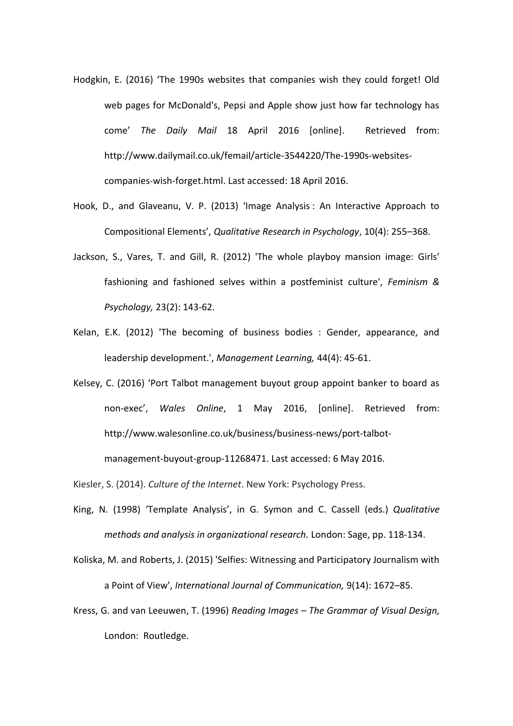- Hodgkin, E. (2016) 'The 1990s websites that companies wish they could forget! Old web pages for McDonald's, Pepsi and Apple show just how far technology has come' *The Daily Mail* 18 April 2016 [online]. Retrieved from: [http://www.dailymail.co.uk/femail/article-3544220/The-1990s-websites](http://www.dailymail.co.uk/femail/article-3544220/The-1990s-websites-companies-wish-forget.html)[companies-wish-forget.html.](http://www.dailymail.co.uk/femail/article-3544220/The-1990s-websites-companies-wish-forget.html) Last accessed: 18 April 2016.
- Hook, D., and Glaveanu, V. P. (2013) 'Image Analysis : An Interactive Approach to Compositional Elements', *Qualitative Research in Psychology*, 10(4): 255–368.
- Jackson, S., Vares, T. and Gill, R. (2012) 'The whole playboy mansion image: Girls' fashioning and fashioned selves within a postfeminist culture', *Feminism & Psychology,* 23(2): 143-62.
- Kelan, E.K. (2012) 'The becoming of business bodies : Gender, appearance, and leadership development.', *Management Learning,* 44(4): 45-61.
- Kelsey, C. (2016) 'Port Talbot management buyout group appoint banker to board as non-exec', *Wales Online*, 1 May 2016, [online]. Retrieved from: [http://www.walesonline.co.uk/business/business-news/port-talbot-](http://www.walesonline.co.uk/business/business-news/port-talbot-management-buyout-group-11268471)

[management-buyout-group-11268471.](http://www.walesonline.co.uk/business/business-news/port-talbot-management-buyout-group-11268471) Last accessed: 6 May 2016.

Kiesler, S. (2014). *Culture of the Internet*. New York: Psychology Press.

- King, N. (1998) 'Template Analysis', in G. Symon and C. Cassell (eds.) *Qualitative methods and analysis in organizational research.* London: Sage, pp. 118-134.
- Koliska, M. and Roberts, J. (2015) 'Selfies: Witnessing and Participatory Journalism with a Point of View', *International Journal of Communication,* 9(14): 1672–85.
- Kress, G. and van Leeuwen, T. (1996) *Reading Images – The Grammar of Visual Design,* London: Routledge.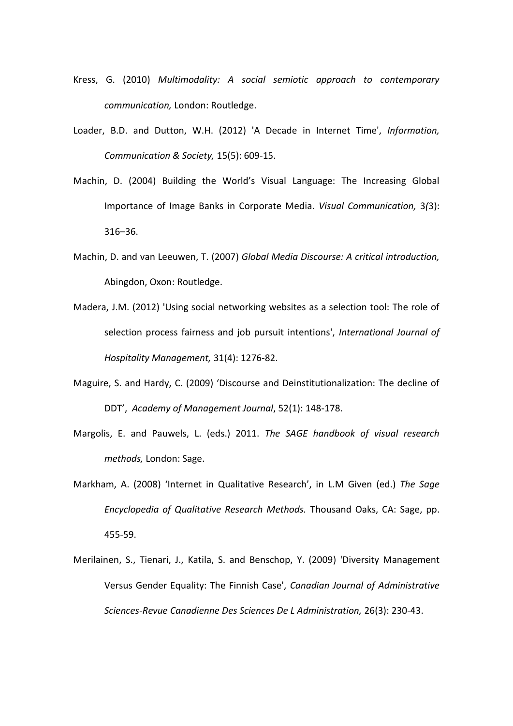- Kress, G. (2010) *Multimodality: A social semiotic approach to contemporary communication,* London: Routledge.
- Loader, B.D. and Dutton, W.H. (2012) 'A Decade in Internet Time', *Information, Communication & Society,* 15(5): 609-15.
- Machin, D. (2004) Building the World's Visual Language: The Increasing Global Importance of Image Banks in Corporate Media. *Visual Communication,* 3*(*3): 316–36.
- Machin, D. and van Leeuwen, T. (2007) *Global Media Discourse: A critical introduction,*  Abingdon, Oxon: Routledge.
- Madera, J.M. (2012) 'Using social networking websites as a selection tool: The role of selection process fairness and job pursuit intentions', *International Journal of Hospitality Management,* 31(4): 1276-82.
- Maguire, S. and Hardy, C. (2009) 'Discourse and Deinstitutionalization: The decline of DDT', *Academy of Management Journal*, 52(1): 148-178.
- Margolis, E. and Pauwels, L. (eds.) 2011. *The SAGE handbook of visual research methods,* London: Sage.
- Markham, A. (2008) 'Internet in Qualitative Research', in L.M Given (ed.) *The Sage Encyclopedia of Qualitative Research Methods.* Thousand Oaks, CA: Sage, pp. 455-59.
- Merilainen, S., Tienari, J., Katila, S. and Benschop, Y. (2009) 'Diversity Management Versus Gender Equality: The Finnish Case', *Canadian Journal of Administrative Sciences-Revue Canadienne Des Sciences De L Administration,* 26(3): 230-43.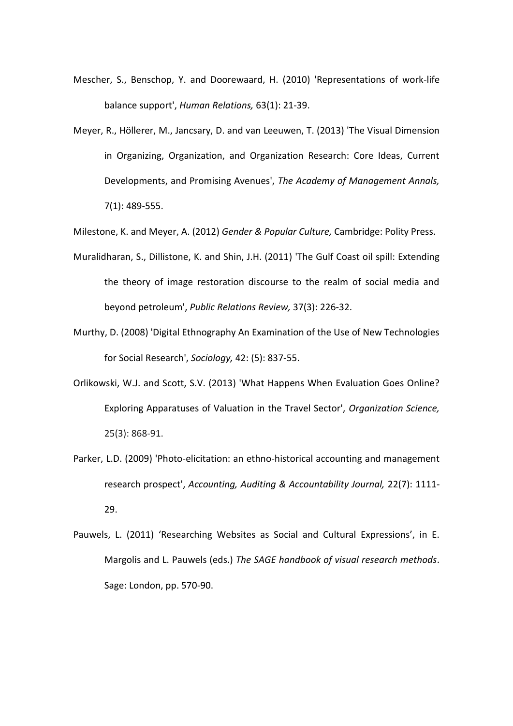- Mescher, S., Benschop, Y. and Doorewaard, H. (2010) 'Representations of work-life balance support', *Human Relations,* 63(1): 21-39.
- Meyer, R., Höllerer, M., Jancsary, D. and van Leeuwen, T. (2013) 'The Visual Dimension in Organizing, Organization, and Organization Research: Core Ideas, Current Developments, and Promising Avenues', *The Academy of Management Annals,* 7(1): 489-555.

Milestone, K. and Meyer, A. (2012) *Gender & Popular Culture,* Cambridge: Polity Press.

- Muralidharan, S., Dillistone, K. and Shin, J.H. (2011) 'The Gulf Coast oil spill: Extending the theory of image restoration discourse to the realm of social media and beyond petroleum', *Public Relations Review,* 37(3): 226-32.
- Murthy, D. (2008) 'Digital Ethnography An Examination of the Use of New Technologies for Social Research', *Sociology,* 42: (5): 837-55.
- Orlikowski, W.J. and Scott, S.V. (2013) 'What Happens When Evaluation Goes Online? Exploring Apparatuses of Valuation in the Travel Sector', *Organization Science,* 25(3): 868-91.
- Parker, L.D. (2009) 'Photo-elicitation: an ethno-historical accounting and management research prospect', *Accounting, Auditing & Accountability Journal,* 22(7): 1111- 29.
- Pauwels, L. (2011) 'Researching Websites as Social and Cultural Expressions', in E. Margolis and L. Pauwels (eds.) *The SAGE handbook of visual research methods*. Sage: London, pp. 570-90.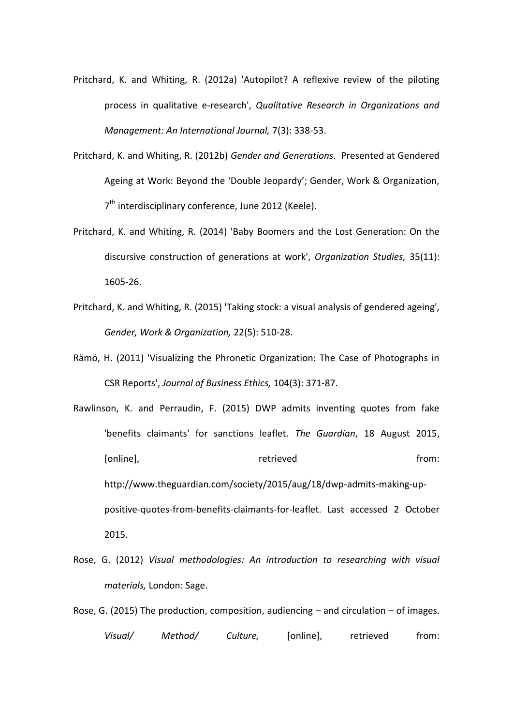- Pritchard, K. and Whiting, R. (2012a) 'Autopilot? A reflexive review of the piloting process in qualitative e-research', *Qualitative Research in Organizations and Management: An International Journal,* 7(3): 338-53.
- Pritchard, K. and Whiting, R. (2012b) *Gender and Generations*. Presented at Gendered Ageing at Work: Beyond the 'Double Jeopardy'; Gender, Work & Organization, 7<sup>th</sup> interdisciplinary conference, June 2012 (Keele).
- Pritchard, K. and Whiting, R. (2014) 'Baby Boomers and the Lost Generation: On the discursive construction of generations at work', *Organization Studies,* 35(11): 1605-26.
- Pritchard, K. and Whiting, R. (2015) 'Taking stock: a visual analysis of gendered ageing', *Gender, Work & Organization,* 22(5): 510-28.
- Rämö, H. (2011) 'Visualizing the Phronetic Organization: The Case of Photographs in CSR Reports', *Journal of Business Ethics,* 104(3): 371-87.
- Rawlinson, K. and Perraudin, F. (2015) DWP admits inventing quotes from fake 'benefits claimants' for sanctions leaflet. *The Guardian*, 18 August 2015, [online], The contract of the contract of the contract of the from: http://www.theguardian.com/society/2015/aug/18/dwp-admits-making-uppositive-quotes-from-benefits-claimants-for-leaflet. Last accessed 2 October 2015.
- Rose, G. (2012) *Visual methodologies: An introduction to researching with visual materials,* London: Sage.
- Rose, G. (2015) The production, composition, audiencing and circulation of images. *Visual/ Method/ Culture,* [online], retrieved from: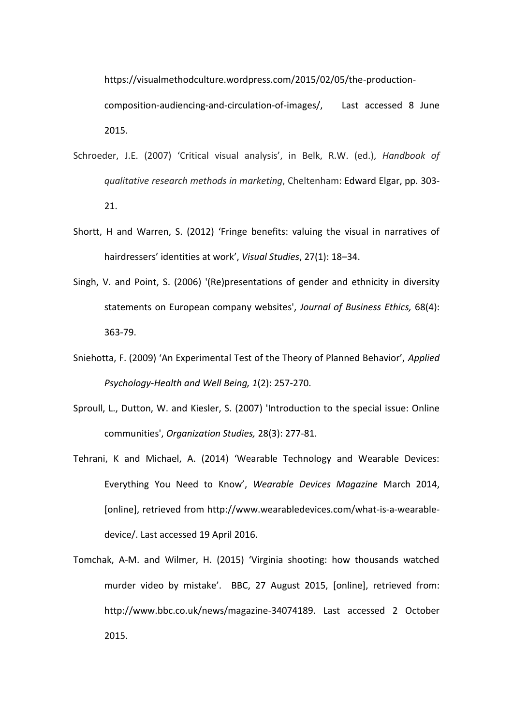https://visualmethodculture.wordpress.com/2015/02/05/the-production-

composition-audiencing-and-circulation-of-images/, Last accessed 8 June 2015.

- Schroeder, J.E. (2007) 'Critical visual analysis', in Belk, R.W. (ed.), *Handbook of qualitative research methods in marketing*, Cheltenham: Edward Elgar, pp. 303- 21.
- Shortt, H and Warren, S. (2012) 'Fringe benefits: valuing the visual in narratives of hairdressers' identities at work', *Visual Studies*, 27(1): 18–34.
- Singh, V. and Point, S. (2006) '(Re)presentations of gender and ethnicity in diversity statements on European company websites', *Journal of Business Ethics,* 68(4): 363-79.
- Sniehotta, F. (2009) 'An Experimental Test of the Theory of Planned Behavior', *Applied Psychology-Health and Well Being, 1*(2): 257-270.
- Sproull, L., Dutton, W. and Kiesler, S. (2007) 'Introduction to the special issue: Online communities', *Organization Studies,* 28(3): 277-81.
- Tehrani, K and Michael, A. (2014) 'Wearable Technology and Wearable Devices: Everything You Need to Know', *Wearable Devices Magazine* March 2014, [online], retrieved from [http://www.wearabledevices.com/what-is-a-wearable](http://www.wearabledevices.com/what-is-a-wearable-device/)[device/.](http://www.wearabledevices.com/what-is-a-wearable-device/) Last accessed 19 April 2016.
- Tomchak, A-M. and Wilmer, H. (2015) 'Virginia shooting: how thousands watched murder video by mistake'. BBC, 27 August 2015, [online], retrieved from: http://www.bbc.co.uk/news/magazine-34074189. Last accessed 2 October 2015.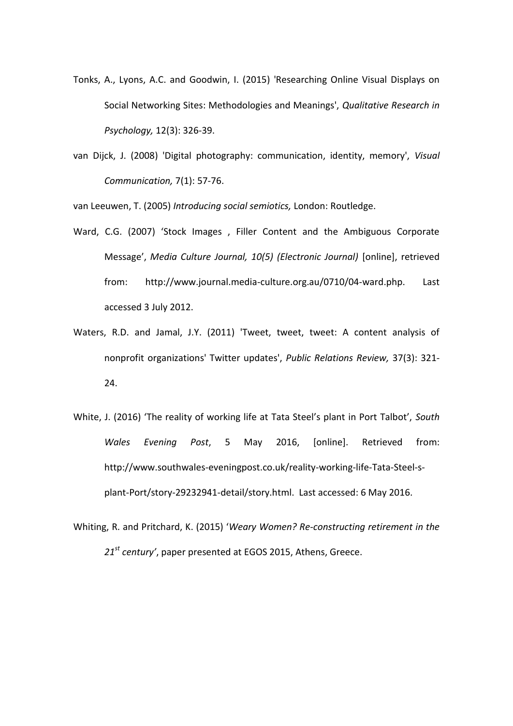- Tonks, A., Lyons, A.C. and Goodwin, I. (2015) 'Researching Online Visual Displays on Social Networking Sites: Methodologies and Meanings', *Qualitative Research in Psychology,* 12(3): 326-39.
- van Dijck, J. (2008) 'Digital photography: communication, identity, memory', *Visual Communication,* 7(1): 57-76.

van Leeuwen, T. (2005) *Introducing social semiotics,* London: Routledge.

- Ward, C.G. (2007) 'Stock Images , Filler Content and the Ambiguous Corporate Message', *Media Culture Journal, 10(5) (Electronic Journal)* [online], retrieved from: http://www.journal.media-culture.org.au/0710/04-ward.php. Last accessed 3 July 2012.
- Waters, R.D. and Jamal, J.Y. (2011) 'Tweet, tweet, tweet: A content analysis of nonprofit organizations' Twitter updates', *Public Relations Review,* 37(3): 321- 24.
- White, J. (2016) 'The reality of working life at Tata Steel's plant in Port Talbot', *South Wales Evening Post*, 5 May 2016, [online]. Retrieved from: [http://www.southwales-eveningpost.co.uk/reality-working-life-Tata-Steel-s](http://www.southwales-eveningpost.co.uk/reality-working-life-Tata-Steel-s-plant-Port/story-29232941-detail/story.html)[plant-Port/story-29232941-detail/story.html.](http://www.southwales-eveningpost.co.uk/reality-working-life-Tata-Steel-s-plant-Port/story-29232941-detail/story.html) Last accessed: 6 May 2016.
- Whiting, R. and Pritchard, K. (2015) '*Weary Women? Re-constructing retirement in the 21st century'*, paper presented at EGOS 2015, Athens, Greece.